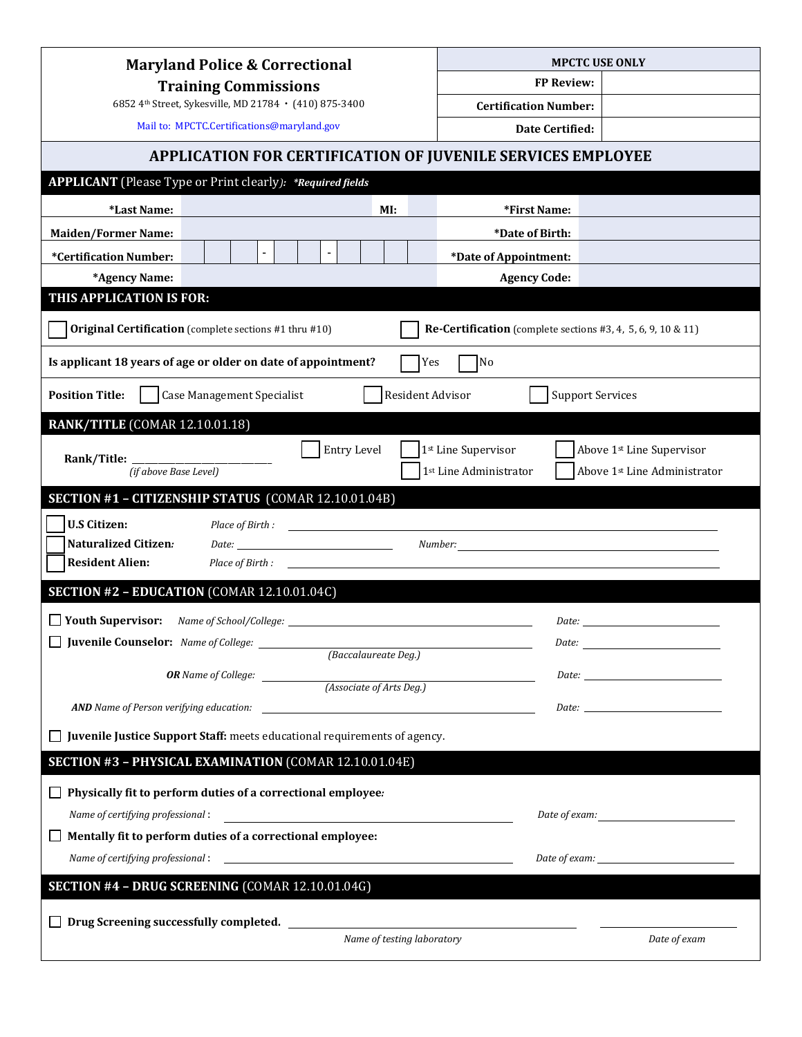| <b>Maryland Police &amp; Correctional</b><br><b>Training Commissions</b><br>6852 4th Street, Sykesville, MD 21784 · (410) 875-3400 |                                                                                                                                                                                                                                |                              | <b>MPCTC USE ONLY</b>                                                                                                                                                                                                          |  |  |
|------------------------------------------------------------------------------------------------------------------------------------|--------------------------------------------------------------------------------------------------------------------------------------------------------------------------------------------------------------------------------|------------------------------|--------------------------------------------------------------------------------------------------------------------------------------------------------------------------------------------------------------------------------|--|--|
|                                                                                                                                    |                                                                                                                                                                                                                                | <b>FP Review:</b>            |                                                                                                                                                                                                                                |  |  |
|                                                                                                                                    |                                                                                                                                                                                                                                | <b>Certification Number:</b> |                                                                                                                                                                                                                                |  |  |
| Mail to: MPCTC.Certifications@maryland.gov                                                                                         |                                                                                                                                                                                                                                | Date Certified:              |                                                                                                                                                                                                                                |  |  |
| APPLICATION FOR CERTIFICATION OF JUVENILE SERVICES EMPLOYEE                                                                        |                                                                                                                                                                                                                                |                              |                                                                                                                                                                                                                                |  |  |
| APPLICANT (Please Type or Print clearly): *Required fields                                                                         |                                                                                                                                                                                                                                |                              |                                                                                                                                                                                                                                |  |  |
| *Last Name:                                                                                                                        | MI:                                                                                                                                                                                                                            | *First Name:                 |                                                                                                                                                                                                                                |  |  |
| <b>Maiden/Former Name:</b>                                                                                                         |                                                                                                                                                                                                                                | *Date of Birth:              |                                                                                                                                                                                                                                |  |  |
| *Certification Number:                                                                                                             |                                                                                                                                                                                                                                | *Date of Appointment:        |                                                                                                                                                                                                                                |  |  |
| *Agency Name:                                                                                                                      |                                                                                                                                                                                                                                | <b>Agency Code:</b>          |                                                                                                                                                                                                                                |  |  |
| THIS APPLICATION IS FOR:                                                                                                           |                                                                                                                                                                                                                                |                              |                                                                                                                                                                                                                                |  |  |
| Original Certification (complete sections #1 thru #10)<br><b>Re-Certification</b> (complete sections #3, 4, 5, 6, 9, 10 & 11)      |                                                                                                                                                                                                                                |                              |                                                                                                                                                                                                                                |  |  |
| Is applicant 18 years of age or older on date of appointment?<br>Yes<br> No                                                        |                                                                                                                                                                                                                                |                              |                                                                                                                                                                                                                                |  |  |
| <b>Case Management Specialist</b><br>Resident Advisor<br><b>Position Title:</b><br><b>Support Services</b>                         |                                                                                                                                                                                                                                |                              |                                                                                                                                                                                                                                |  |  |
| <b>RANK/TITLE (COMAR 12.10.01.18)</b>                                                                                              |                                                                                                                                                                                                                                |                              |                                                                                                                                                                                                                                |  |  |
| Rank/Title:                                                                                                                        | Entry Level                                                                                                                                                                                                                    | 1st Line Supervisor          | Above 1st Line Supervisor                                                                                                                                                                                                      |  |  |
| (if above Base Level)                                                                                                              |                                                                                                                                                                                                                                | 1st Line Administrator       | Above 1st Line Administrator                                                                                                                                                                                                   |  |  |
| SECTION #1 - CITIZENSHIP STATUS (COMAR 12.10.01.04B)                                                                               |                                                                                                                                                                                                                                |                              |                                                                                                                                                                                                                                |  |  |
| <b>U.S Citizen:</b>                                                                                                                | Place of Birth :                                                                                                                                                                                                               |                              |                                                                                                                                                                                                                                |  |  |
| Naturalized Citizen:                                                                                                               | Date: the contract of the contract of the contract of the contract of the contract of the contract of the contract of the contract of the contract of the contract of the contract of the contract of the contract of the cont |                              |                                                                                                                                                                                                                                |  |  |
| <b>Resident Alien:</b><br>Place of Birth:                                                                                          |                                                                                                                                                                                                                                |                              |                                                                                                                                                                                                                                |  |  |
| SECTION #2 - EDUCATION (COMAR 12.10.01.04C)                                                                                        |                                                                                                                                                                                                                                |                              |                                                                                                                                                                                                                                |  |  |
| $\Box$ Youth Supervisor:                                                                                                           | Name of School/College:<br>Date: $\_\_$                                                                                                                                                                                        |                              |                                                                                                                                                                                                                                |  |  |
| <b>Juvenile Counselor:</b> Name of College:                                                                                        | (Baccalaureate Deg.)                                                                                                                                                                                                           |                              |                                                                                                                                                                                                                                |  |  |
|                                                                                                                                    |                                                                                                                                                                                                                                |                              | $\hspace{.2cm} Date: \begin{tabular}{@{}c@{}} \hline \multicolumn{3}{c}{\textbf{Date:}} \end{tabular}$                                                                                                                         |  |  |
|                                                                                                                                    | <b>OR</b> Name of College: <i>(Associate of Arts Deg.)</i>                                                                                                                                                                     |                              |                                                                                                                                                                                                                                |  |  |
|                                                                                                                                    |                                                                                                                                                                                                                                |                              |                                                                                                                                                                                                                                |  |  |
| Juvenile Justice Support Staff: meets educational requirements of agency.                                                          |                                                                                                                                                                                                                                |                              |                                                                                                                                                                                                                                |  |  |
| SECTION #3 - PHYSICAL EXAMINATION (COMAR 12.10.01.04E)                                                                             |                                                                                                                                                                                                                                |                              |                                                                                                                                                                                                                                |  |  |
| Physically fit to perform duties of a correctional employee:                                                                       |                                                                                                                                                                                                                                |                              |                                                                                                                                                                                                                                |  |  |
| Name of certifying professional:                                                                                                   |                                                                                                                                                                                                                                |                              |                                                                                                                                                                                                                                |  |  |
| Mentally fit to perform duties of a correctional employee:                                                                         |                                                                                                                                                                                                                                |                              |                                                                                                                                                                                                                                |  |  |
| Name of certifying professional:                                                                                                   | <u> 1989 - Johann Barn, fransk politik amerikansk politik (</u>                                                                                                                                                                |                              | Date of exam: The contract of example of the contract of the contract of the contract of the contract of the contract of the contract of the contract of the contract of the contract of the contract of the contract of the c |  |  |
| SECTION #4 - DRUG SCREENING (COMAR 12.10.01.04G)                                                                                   |                                                                                                                                                                                                                                |                              |                                                                                                                                                                                                                                |  |  |
| Drug Screening successfully completed.                                                                                             |                                                                                                                                                                                                                                |                              |                                                                                                                                                                                                                                |  |  |
|                                                                                                                                    | Name of testing laboratory                                                                                                                                                                                                     |                              | Date of exam                                                                                                                                                                                                                   |  |  |